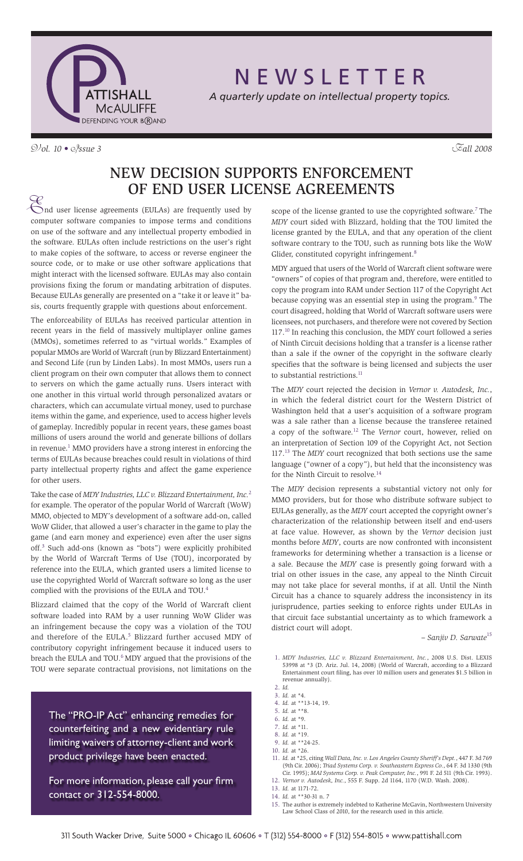

N E W S L E T T E R

*A quarterly update on intellectual property topics.*

# V*ol. 10 •* I*ssue 3* F*all 2008*

# New Decision Supports Enforcement of End User License Agreements

E nd user license agreements (EULAs) are frequently used by computer software companies to impose terms and conditions on use of the software and any intellectual property embodied in the software. EULAs often include restrictions on the user's right to make copies of the software, to access or reverse engineer the source code, or to make or use other software applications that might interact with the licensed software. EULAs may also contain provisions fixing the forum or mandating arbitration of disputes. Because EULAs generally are presented on a "take it or leave it" basis, courts frequently grapple with questions about enforcement.

The enforceability of EULAs has received particular attention in recent years in the field of massively multiplayer online games (MMOs), sometimes referred to as "virtual worlds." Examples of popular MMOs are World of Warcraft (run by Blizzard Entertainment) and Second Life (run by Linden Labs). In most MMOs, users run a client program on their own computer that allows them to connect to servers on which the game actually runs. Users interact with one another in this virtual world through personalized avatars or characters, which can accumulate virtual money, used to purchase items within the game, and experience, used to access higher levels of gameplay. Incredibly popular in recent years, these games boast millions of users around the world and generate billions of dollars in revenue.<sup>1</sup> MMO providers have a strong interest in enforcing the terms of EULAs because breaches could result in violations of third party intellectual property rights and affect the game experience for other users.

Take the case of *MDY Industries, LLC v. Blizzard Entertainment, Inc.*<sup>2</sup> for example. The operator of the popular World of Warcraft (WoW) MMO, objected to MDY's development of a software add-on, called WoW Glider, that allowed a user's character in the game to play the game (and earn money and experience) even after the user signs off.3 Such add-ons (known as "bots") were explicitly prohibited by the World of Warcraft Terms of Use (TOU), incorporated by reference into the EULA, which granted users a limited license to use the copyrighted World of Warcraft software so long as the user complied with the provisions of the EULA and TOU.<sup>4</sup>

Blizzard claimed that the copy of the World of Warcraft client software loaded into RAM by a user running WoW Glider was an infringement because the copy was a violation of the TOU and therefore of the EULA.<sup>5</sup> Blizzard further accused MDY of contributory copyright infringement because it induced users to breach the EULA and TOU. $^6$  MDY argued that the provisions of the TOU were separate contractual provisions, not limitations on the

The "PRO-IP Act" enhancing remedies for counterfeiting and a new evidentiary rule limiting waivers of attorney-client and work product privilege have been enacted.

For more information, please call your firm contact or 312-554-8000.

scope of the license granted to use the copyrighted software.<sup>7</sup> The *MDY* court sided with Blizzard, holding that the TOU limited the license granted by the EULA, and that any operation of the client software contrary to the TOU, such as running bots like the WoW Glider, constituted copyright infringement.<sup>8</sup>

MDY argued that users of the World of Warcraft client software were "owners" of copies of that program and, therefore, were entitled to copy the program into RAM under Section 117 of the Copyright Act because copying was an essential step in using the program.<sup>9</sup> The court disagreed, holding that World of Warcraft software users were licensees, not purchasers, and therefore were not covered by Section 117.<sup>10</sup> In reaching this conclusion, the MDY court followed a series of Ninth Circuit decisions holding that a transfer is a license rather than a sale if the owner of the copyright in the software clearly specifies that the software is being licensed and subjects the user to substantial restrictions.<sup>11</sup>

The *MDY* court rejected the decision in *Vernor v. Autodesk, Inc.*, in which the federal district court for the Western District of Washington held that a user's acquisition of a software program was a sale rather than a license because the transferee retained a copy of the software.12 The *Vernor* court, however, relied on an interpretation of Section 109 of the Copyright Act, not Section 117.13 The *MDY* court recognized that both sections use the same language ("owner of a copy"), but held that the inconsistency was for the Ninth Circuit to resolve.<sup>14</sup>

The *MDY* decision represents a substantial victory not only for MMO providers, but for those who distribute software subject to EULAs generally, as the *MDY* court accepted the copyright owner's characterization of the relationship between itself and end-users at face value. However, as shown by the *Vernor* decision just months before *MDY*, courts are now confronted with inconsistent frameworks for determining whether a transaction is a license or a sale. Because the *MDY* case is presently going forward with a trial on other issues in the case, any appeal to the Ninth Circuit may not take place for several months, if at all. Until the Ninth Circuit has a chance to squarely address the inconsistency in its jurisprudence, parties seeking to enforce rights under EULAs in that circuit face substantial uncertainty as to which framework a district court will adopt.

*– Sanjiv D. Sarwate*<sup>15</sup>

1. *MDY Industries, LLC v. Blizzard Entertainment, Inc.*, 2008 U.S. Dist. LEXIS 53998 at \*3 (D. Ariz. Jul. 14, 2008) (World of Warcraft, according to a Blizzard Entertainment court filing, has over 10 million users and generates \$1.5 billion in revenue annually).

- 4. *Id.* at \*\*13-14, 19.
- 5. *Id.* at \*\*8.
- 6. *Id.* at \*9.
- 7. *Id.* at \*11.
- 8. *Id.* at \*19.
- 9. *Id.* at \*\*24-25.
- 10. *Id.* at \*26.
- 11. *Id.* at \*25, citing *Wall Data, Inc. v. Los Angeles County Sheriff's Dept.*, 447 F. 3d 769 (9th Cir. 2006); *Triad Systems Corp. v. Southeastern Express Co.*, 64 F. 3d 1330 (9th Cir. 1995); *MAI Systems Corp. v. Peak Computer, Inc.*, 991 F. 2d 511 (9th Cir. 1993).
- 12. *Vernor v. Autodesk, Inc.*, 555 F. Supp. 2d 1164, 1170 (W.D. Wash. 2008). 13. *Id.* at 1171-72.
- 14. *Id.* at \*\*30-31 n. 7
- 
- 15. The author is extremely indebted to Katherine McGavin, Northwestern University Law School Class of 2010, for the research used in this article.

<sup>2.</sup> *Id.* 3. *Id.* at \*4.